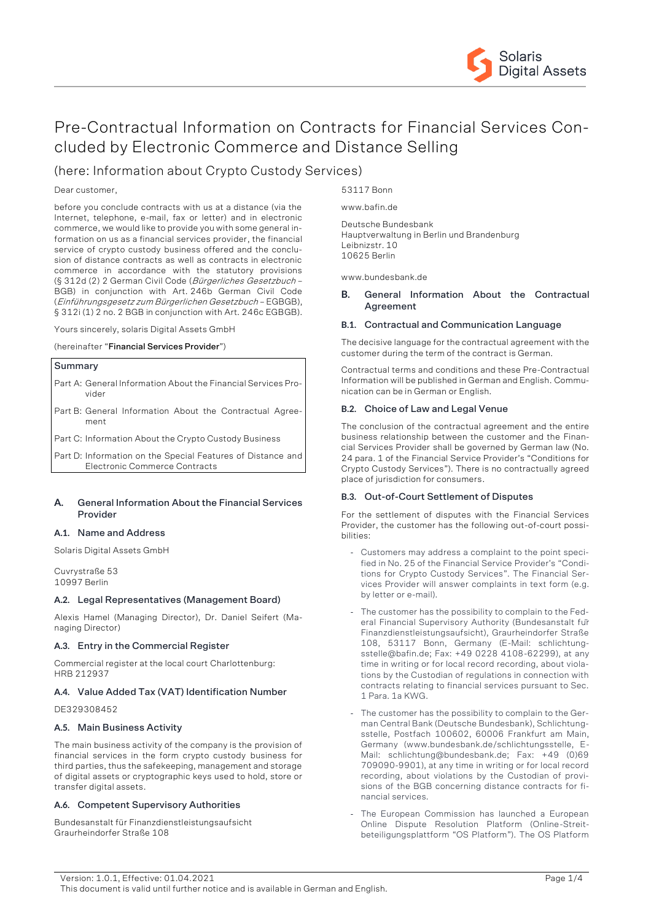

# Pre-Contractual Information on Contracts for Financial Services Concluded by Electronic Commerce and Distance Selling

# (here: Information about Crypto Custody Services)

### Dear customer,

before you conclude contracts with us at a distance (via the Internet, telephone, e-mail, fax or letter) and in electronic commerce, we would like to provide you with some general information on us as a financial services provider, the financial service of crypto custody business offered and the conclusion of distance contracts as well as contracts in electronic commerce in accordance with the statutory provisions (§ 312d (2) 2 German Civil Code (Bürgerliches Gesetzbuch – BGB) in conjunction with Art. 246b German Civil Code (Einführungsgesetz zum Bürgerlichen Gesetzbuch – EGBGB), § 312i (1) 2 no. 2 BGB in conjunction with Art. 246c EGBGB).

Yours sincerely, solaris Digital Assets GmbH

(hereinafter "**Financial Services Provider**")

# **Summary**

- Part A: General Information About the Financial Services Provider
- Part B: General Information About the Contractual Agreement
- Part C: Information About the Crypto Custody Business
- Part D: Information on the Special Features of Distance and Electronic Commerce Contracts

# **A. General Information About the Financial Services Provider**

# **A.1. Name and Address**

Solaris Digital Assets GmbH

Cuvrystraße 53 10997 Berlin

#### **A.2. Legal Representatives (Management Board)**

Alexis Hamel (Managing Director), Dr. Daniel Seifert (Managing Director)

# **A.3. Entry in the Commercial Register**

Commercial register at the local court Charlottenburg: HRB 212937

# **A.4. Value Added Tax (VAT) Identification Number**

DE329308452

# **A.5. Main Business Activity**

The main business activity of the company is the provision of financial services in the form crypto custody business for third parties, thus the safekeeping, management and storage of digital assets or cryptographic keys used to hold, store or transfer digital assets.

#### **A.6. Competent Supervisory Authorities**

Bundesanstalt für Finanzdienstleistungsaufsicht Graurheindorfer Straße 108

53117 Bonn www.bafin.de

Deutsche Bundesbank Hauptverwaltung in Berlin und Brandenburg Leibnizstr. 10 10625 Berlin

www.bundesbank.de

# **B. General Information About the Contractual Agreement**

### **B.1. Contractual and Communication Language**

The decisive language for the contractual agreement with the customer during the term of the contract is German.

Contractual terms and conditions and these Pre-Contractual Information will be published in German and English. Communication can be in German or English.

#### **B.2. Choice of Law and Legal Venue**

The conclusion of the contractual agreement and the entire business relationship between the customer and the Financial Services Provider shall be governed by German law (No. 24 para. 1 of the Financial Service Provider's "Conditions for Crypto Custody Services"). There is no contractually agreed place of jurisdiction for consumers.

#### **B.3. Out-of-Court Settlement of Disputes**

For the settlement of disputes with the Financial Services Provider, the customer has the following out-of-court possibilities:

- Customers may address a complaint to the point specified in No. 25 of the Financial Service Provider's "Conditions for Crypto Custody Services". The Financial Services Provider will answer complaints in text form (e.g. by letter or e-mail).
- The customer has the possibility to complain to the Federal Financial Supervisory Authority (Bundesanstalt für Finanzdienstleistungsaufsicht), Graurheindorfer Straße 108, 53117 Bonn, Germany (E-Mail: schlichtungsstelle@bafin.de; Fax: +49 0228 4108-62299), at any time in writing or for local record recording, about violations by the Custodian of regulations in connection with contracts relating to financial services pursuant to Sec. 1 Para. 1a KWG.
- The customer has the possibility to complain to the German Central Bank (Deutsche Bundesbank), Schlichtungsstelle, Postfach 100602, 60006 Frankfurt am Main, Germany (www.bundesbank.de/schlichtungsstelle, E-Mail: schlichtung@bundesbank.de; Fax: +49 (0)69 709090-9901), at any time in writing or for local record recording, about violations by the Custodian of provisions of the BGB concerning distance contracts for financial services.
- The European Commission has launched a European Online Dispute Resolution Platform (Online-Streitbeteiligungsplattform "OS Platform"). The OS Platform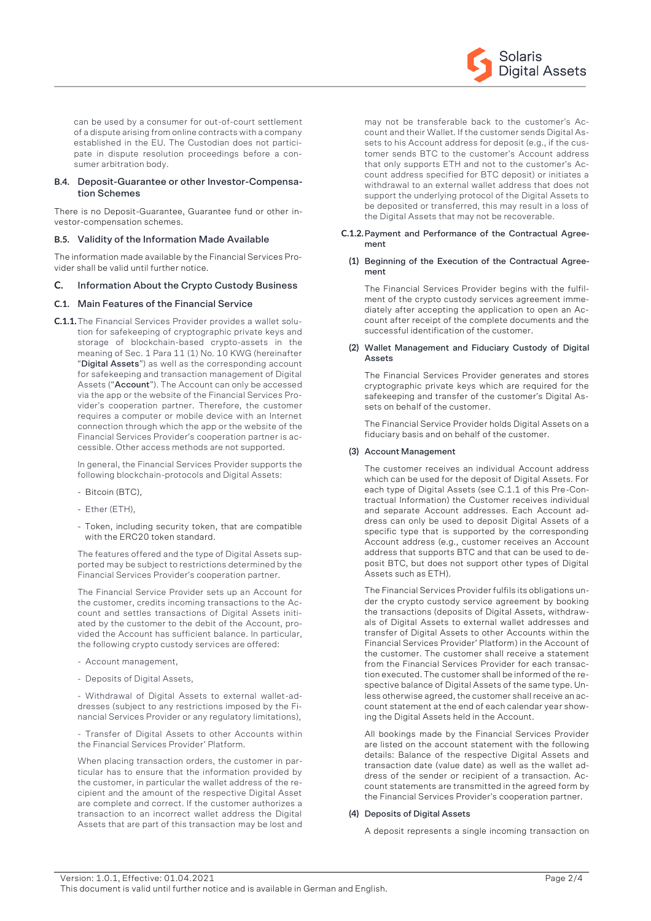

can be used by a consumer for out-of-court settlement of a dispute arising from online contracts with a company established in the EU. The Custodian does not participate in dispute resolution proceedings before a consumer arbitration body.

### **B.4. Deposit-Guarantee or other Investor-Compensation Schemes**

There is no Deposit-Guarantee, Guarantee fund or other investor-compensation schemes.

### **B.5. Validity of the Information Made Available**

The information made available by the Financial Services Provider shall be valid until further notice.

# **C. Information About the Crypto Custody Business**

# **C.1. Main Features of the Financial Service**

**C.1.1.**The Financial Services Provider provides a wallet solution for safekeeping of cryptographic private keys and storage of blockchain-based crypto-assets in the meaning of Sec. 1 Para 11 (1) No. 10 KWG (hereinafter "**Digital Assets**") as well as the corresponding account for safekeeping and transaction management of Digital Assets ("**Account**"). The Account can only be accessed via the app or the website of the Financial Services Provider's cooperation partner. Therefore, the customer requires a computer or mobile device with an Internet connection through which the app or the website of the Financial Services Provider's cooperation partner is accessible. Other access methods are not supported.

In general, the Financial Services Provider supports the following blockchain-protocols and Digital Assets:

- Bitcoin (BTC)
- Ether (ETH),
- Token, including security token, that are compatible with the ERC20 token standard.

The features offered and the type of Digital Assets supported may be subject to restrictions determined by the Financial Services Provider's cooperation partner.

The Financial Service Provider sets up an Account for the customer, credits incoming transactions to the Account and settles transactions of Digital Assets initiated by the customer to the debit of the Account, provided the Account has sufficient balance. In particular, the following crypto custody services are offered:

- Account management,
- Deposits of Digital Assets,

- Withdrawal of Digital Assets to external wallet-addresses (subject to any restrictions imposed by the Financial Services Provider or any regulatory limitations),

- Transfer of Digital Assets to other Accounts within the Financial Services Provider' Platform.

When placing transaction orders, the customer in particular has to ensure that the information provided by the customer, in particular the wallet address of the recipient and the amount of the respective Digital Asset are complete and correct. If the customer authorizes a transaction to an incorrect wallet address the Digital Assets that are part of this transaction may be lost and

may not be transferable back to the customer's Account and their Wallet. If the customer sends Digital Assets to his Account address for deposit (e.g., if the customer sends BTC to the customer's Account address that only supports ETH and not to the customer's Account address specified for BTC deposit) or initiates a withdrawal to an external wallet address that does not support the underlying protocol of the Digital Assets to be deposited or transferred, this may result in a loss of the Digital Assets that may not be recoverable.

#### **C.1.2.Payment and Performance of the Contractual Agreement**

#### **(1) Beginning of the Execution of the Contractual Agreement**

The Financial Services Provider begins with the fulfilment of the crypto custody services agreement immediately after accepting the application to open an Account after receipt of the complete documents and the successful identification of the customer.

#### **(2) Wallet Management and Fiduciary Custody of Digital Assets**

The Financial Services Provider generates and stores cryptographic private keys which are required for the safekeeping and transfer of the customer's Digital Assets on behalf of the customer.

The Financial Service Provider holds Digital Assets on a fiduciary basis and on behalf of the customer.

# **(3) Account Management**

The customer receives an individual Account address which can be used for the deposit of Digital Assets. For each type of Digital Assets (see C.1.1 of this Pre-Contractual Information) the Customer receives individual and separate Account addresses. Each Account address can only be used to deposit Digital Assets of a specific type that is supported by the corresponding Account address (e.g., customer receives an Account address that supports BTC and that can be used to deposit BTC, but does not support other types of Digital Assets such as ETH).

The Financial Services Provider fulfils its obligations under the crypto custody service agreement by booking the transactions (deposits of Digital Assets, withdrawals of Digital Assets to external wallet addresses and transfer of Digital Assets to other Accounts within the Financial Services Provider' Platform) in the Account of the customer. The customer shall receive a statement from the Financial Services Provider for each transaction executed. The customer shall be informed of the respective balance of Digital Assets of the same type. Unless otherwise agreed, the customer shall receive an account statement at the end of each calendar year showing the Digital Assets held in the Account.

All bookings made by the Financial Services Provider are listed on the account statement with the following details: Balance of the respective Digital Assets and transaction date (value date) as well as the wallet address of the sender or recipient of a transaction. Account statements are transmitted in the agreed form by the Financial Services Provider's cooperation partner.

#### **(4) Deposits of Digital Assets**

A deposit represents a single incoming transaction on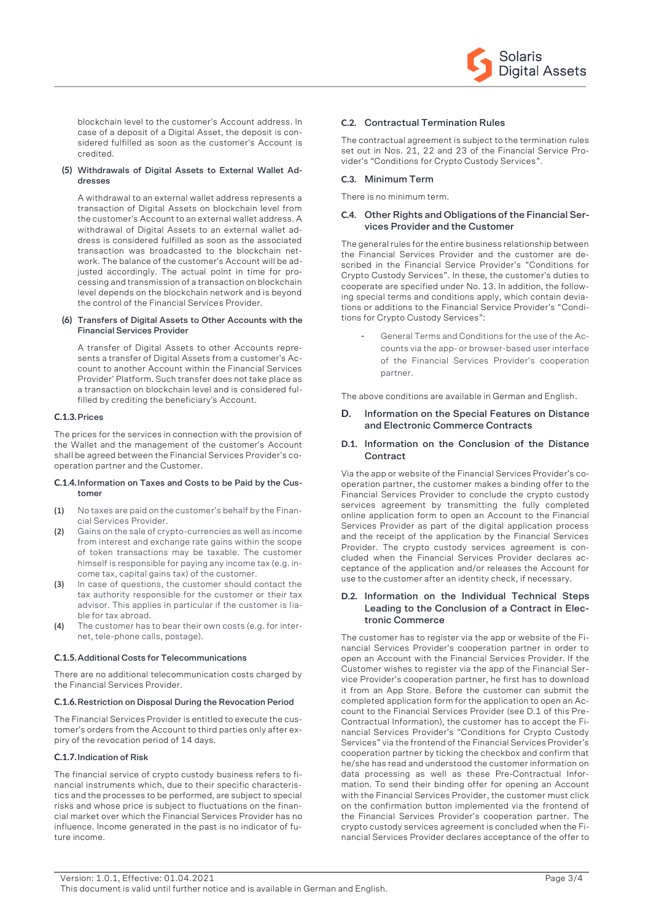

blockchain level to the customer's Account address. In case of a deposit of a Digital Asset, the deposit is considered fulfilled as soon as the customer's Account is credited.

#### **(5) Withdrawals of Digital Assets to External Wallet Addresses**

A withdrawal to an external wallet address represents a transaction of Digital Assets on blockchain level from the customer's Account to an external wallet address. A withdrawal of Digital Assets to an external wallet address is considered fulfilled as soon as the associated transaction was broadcasted to the blockchain network. The balance of the customer's Account will be adjusted accordingly. The actual point in time for processing and transmission of a transaction on blockchain level depends on the blockchain network and is beyond the control of the Financial Services Provider.

#### **(6) Transfers of Digital Assets to Other Accounts with the Financial Services Provider**

A transfer of Digital Assets to other Accounts represents a transfer of Digital Assets from a customer's Account to another Account within the Financial Services Provider' Platform. Such transfer does not take place as a transaction on blockchain level and is considered fulfilled by crediting the beneficiary's Account.

### **C.1.3.Prices**

The prices for the services in connection with the provision of the Wallet and the management of the customer's Account shall be agreed between the Financial Services Provider's cooperation partner and the Customer.

#### **C.1.4.Information on Taxes and Costs to be Paid by the Customer**

- (1) No taxes are paid on the customer's behalf by the Financial Services Provider.
- (2) Gains on the sale of crypto-currencies as well as income from interest and exchange rate gains within the scope of token transactions may be taxable. The customer himself is responsible for paying any income tax (e.g. income tax, capital gains tax) of the customer.
- (3) In case of questions, the customer should contact the tax authority responsible for the customer or their tax advisor. This applies in particular if the customer is liable for tax abroad.
- (4) The customer has to bear their own costs (e.g. for internet, tele-phone calls, postage).

#### **C.1.5.Additional Costs for Telecommunications**

There are no additional telecommunication costs charged by the Financial Services Provider.

#### **C.1.6.Restriction on Disposal During the Revocation Period**

The Financial Services Provider is entitled to execute the customer's orders from the Account to third parties only after expiry of the revocation period of 14 days.

#### **C.1.7.Indication of Risk**

The financial service of crypto custody business refers to financial instruments which, due to their specific characteristics and the processes to be performed, are subject to special risks and whose price is subject to fluctuations on the financial market over which the Financial Services Provider has no influence. Income generated in the past is no indicator of future income.

### **C.2. Contractual Termination Rules**

The contractual agreement is subject to the termination rules set out in Nos. 21, 22 and 23 of the Financial Service Provider's "Conditions for Crypto Custody Services".

# **C.3. Minimum Term**

There is no minimum term.

#### **C.4. Other Rights and Obligations of the Financial Services Provider and the Customer**

The general rules for the entire business relationship between the Financial Services Provider and the customer are described in the Financial Service Provider's "Conditions for Crypto Custody Services". In these, the customer's duties to cooperate are specified under No. 13. In addition, the following special terms and conditions apply, which contain deviations or additions to the Financial Service Provider's "Conditions for Crypto Custody Services":

> - General Terms and Conditions for the use of the Accounts via the app- or browser-based user interface of the Financial Services Provider's cooperation partner.

The above conditions are available in German and English.

# **D. Information on the Special Features on Distance and Electronic Commerce Contracts**

### **D.1. Information on the Conclusion of the Distance Contract**

Via the app or website of the Financial Services Provider's cooperation partner, the customer makes a binding offer to the Financial Services Provider to conclude the crypto custody services agreement by transmitting the fully completed online application form to open an Account to the Financial Services Provider as part of the digital application process and the receipt of the application by the Financial Services Provider. The crypto custody services agreement is concluded when the Financial Services Provider declares acceptance of the application and/or releases the Account for use to the customer after an identity check, if necessary.

# **D.2. Information on the Individual Technical Steps Leading to the Conclusion of a Contract in Electronic Commerce**

The customer has to register via the app or website of the Financial Services Provider's cooperation partner in order to open an Account with the Financial Services Provider. If the Customer wishes to register via the app of the Financial Service Provider's cooperation partner, he first has to download it from an App Store. Before the customer can submit the completed application form for the application to open an Account to the Financial Services Provider (see D.1 of this Pre-Contractual Information), the customer has to accept the Financial Services Provider's "Conditions for Crypto Custody Services" via the frontend of the Financial Services Provider's cooperation partner by ticking the checkbox and confirm that he/she has read and understood the customer information on data processing as well as these Pre-Contractual Information. To send their binding offer for opening an Account with the Financial Services Provider, the customer must click on the confirmation button implemented via the frontend of the Financial Services Provider's cooperation partner. The crypto custody services agreement is concluded when the Financial Services Provider declares acceptance of the offer to